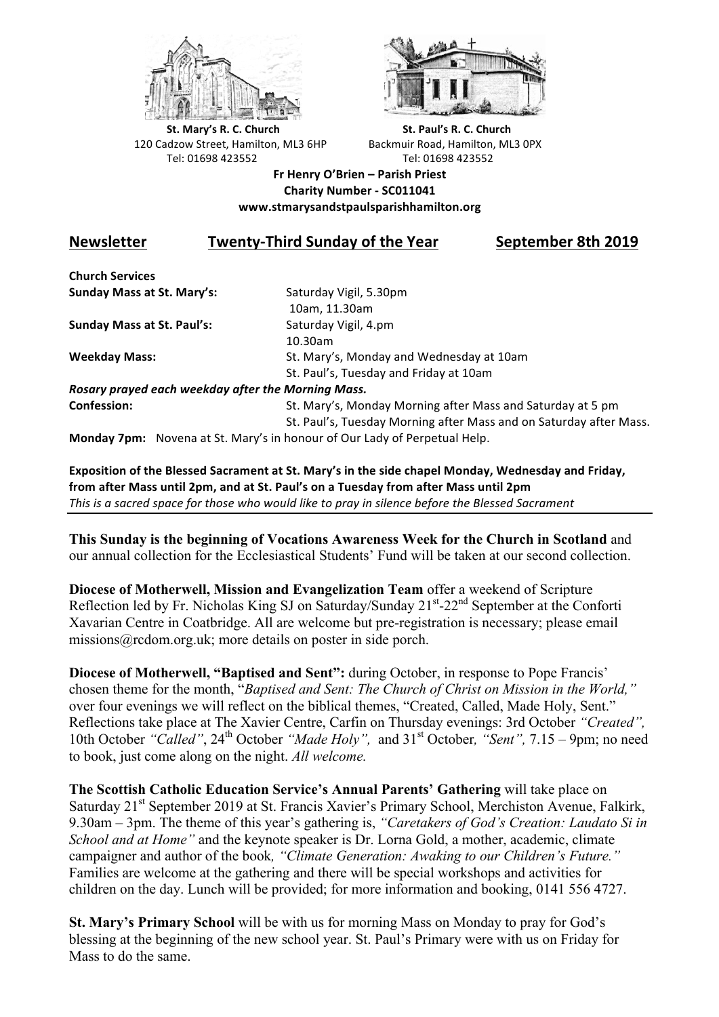



**St.** Mary's R. C. Church St. Paul's R. C. Church 120 Cadzow Street, Hamilton, ML3 6HP Backmuir Road, Hamilton, ML3 0PX Tel: 01698 423552 Tel: 01698 423552

**Fr Henry O'Brien – Parish Priest Charity Number - SC011041 www.stmarysandstpaulsparishhamilton.org**

## **Newsletter Twenty-Third Sunday of the Year September 8th 2019**

**Church Services Sunday Mass at St. Mary's:** Saturday Vigil, 5.30pm

**Sunday Mass at St. Paul's:** Saturday Vigil, 4.pm

 10am, 11.30am 10.30am **Weekday Mass:** St. Mary's, Monday and Wednesday at 10am St. Paul's, Tuesday and Friday at 10am

*Rosary prayed each weekday after the Morning Mass.* **Confession:** St. Mary's, Monday Morning after Mass and Saturday at 5 pm

St. Paul's, Tuesday Morning after Mass and on Saturday after Mass.

**Monday 7pm:** Novena at St. Mary's in honour of Our Lady of Perpetual Help.

Exposition of the Blessed Sacrament at St. Mary's in the side chapel Monday, Wednesday and Friday, from after Mass until 2pm, and at St. Paul's on a Tuesday from after Mass until 2pm This is a sacred space for those who would like to pray in silence before the Blessed Sacrament

**This Sunday is the beginning of Vocations Awareness Week for the Church in Scotland** and our annual collection for the Ecclesiastical Students' Fund will be taken at our second collection.

**Diocese of Motherwell, Mission and Evangelization Team** offer a weekend of Scripture Reflection led by Fr. Nicholas King SJ on Saturday/Sunday 21<sup>st</sup>-22<sup>nd</sup> September at the Conforti Xavarian Centre in Coatbridge. All are welcome but pre-registration is necessary; please email missions@rcdom.org.uk; more details on poster in side porch.

**Diocese of Motherwell, "Baptised and Sent":** during October, in response to Pope Francis' chosen theme for the month, "*Baptised and Sent: The Church of Christ on Mission in the World,"*  over four evenings we will reflect on the biblical themes, "Created, Called, Made Holy, Sent." Reflections take place at The Xavier Centre, Carfin on Thursday evenings: 3rd October *"Created",* 10th October "Called", 24<sup>th</sup> October "Made Holy", and 31<sup>st</sup> October, "Sent", 7.15 – 9pm; no need to book, just come along on the night. *All welcome.*

**The Scottish Catholic Education Service's Annual Parents' Gathering** will take place on Saturday 21<sup>st</sup> September 2019 at St. Francis Xavier's Primary School, Merchiston Avenue, Falkirk, 9.30am – 3pm. The theme of this year's gathering is, *"Caretakers of God's Creation: Laudato Si in School and at Home"* and the keynote speaker is Dr. Lorna Gold, a mother, academic, climate campaigner and author of the book*, "Climate Generation: Awaking to our Children's Future."* Families are welcome at the gathering and there will be special workshops and activities for children on the day. Lunch will be provided; for more information and booking, 0141 556 4727.

**St. Mary's Primary School** will be with us for morning Mass on Monday to pray for God's blessing at the beginning of the new school year. St. Paul's Primary were with us on Friday for Mass to do the same.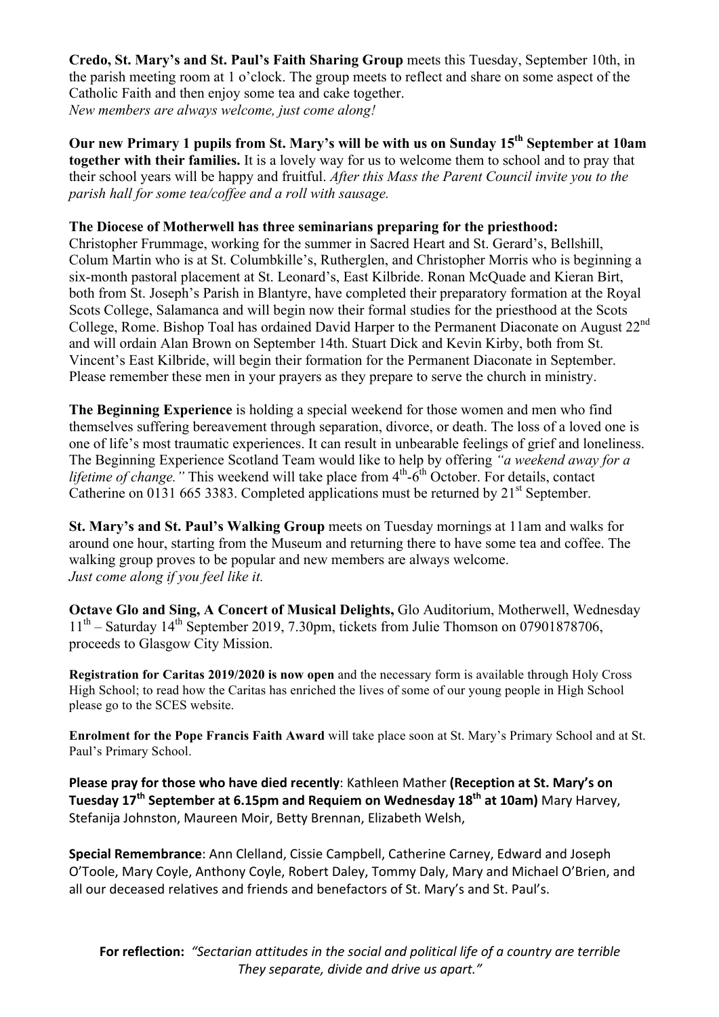**Credo, St. Mary's and St. Paul's Faith Sharing Group** meets this Tuesday, September 10th, in the parish meeting room at 1 o'clock. The group meets to reflect and share on some aspect of the Catholic Faith and then enjoy some tea and cake together. *New members are always welcome, just come along!*

**Our new Primary 1 pupils from St. Mary's will be with us on Sunday 15th September at 10am together with their families.** It is a lovely way for us to welcome them to school and to pray that their school years will be happy and fruitful. *After this Mass the Parent Council invite you to the parish hall for some tea/coffee and a roll with sausage.* 

## **The Diocese of Motherwell has three seminarians preparing for the priesthood:**

Christopher Frummage, working for the summer in Sacred Heart and St. Gerard's, Bellshill, Colum Martin who is at St. Columbkille's, Rutherglen, and Christopher Morris who is beginning a six-month pastoral placement at St. Leonard's, East Kilbride. Ronan McQuade and Kieran Birt, both from St. Joseph's Parish in Blantyre, have completed their preparatory formation at the Royal Scots College, Salamanca and will begin now their formal studies for the priesthood at the Scots College, Rome. Bishop Toal has ordained David Harper to the Permanent Diaconate on August 22nd and will ordain Alan Brown on September 14th. Stuart Dick and Kevin Kirby, both from St. Vincent's East Kilbride, will begin their formation for the Permanent Diaconate in September. Please remember these men in your prayers as they prepare to serve the church in ministry.

**The Beginning Experience** is holding a special weekend for those women and men who find themselves suffering bereavement through separation, divorce, or death. The loss of a loved one is one of life's most traumatic experiences. It can result in unbearable feelings of grief and loneliness. The Beginning Experience Scotland Team would like to help by offering *"a weekend away for a lifetime of change.*" This weekend will take place from  $4<sup>th</sup>$ -6<sup>th</sup> October. For details, contact Catherine on 0131 665 3383. Completed applications must be returned by  $21<sup>st</sup>$  September.

**St. Mary's and St. Paul's Walking Group** meets on Tuesday mornings at 11am and walks for around one hour, starting from the Museum and returning there to have some tea and coffee. The walking group proves to be popular and new members are always welcome. *Just come along if you feel like it.*

**Octave Glo and Sing, A Concert of Musical Delights,** Glo Auditorium, Motherwell, Wednesday  $11<sup>th</sup>$  – Saturday 14<sup>th</sup> September 2019, 7.30pm, tickets from Julie Thomson on 07901878706, proceeds to Glasgow City Mission.

**Registration for Caritas 2019/2020 is now open** and the necessary form is available through Holy Cross High School; to read how the Caritas has enriched the lives of some of our young people in High School please go to the SCES website.

**Enrolment for the Pope Francis Faith Award** will take place soon at St. Mary's Primary School and at St. Paul's Primary School.

Please pray for those who have died recently: Kathleen Mather (Reception at St. Mary's on **Tuesday 17<sup>th</sup> September at 6.15pm and Requiem on Wednesday 18<sup>th</sup> at 10am) Mary Harvey,** Stefanija Johnston, Maureen Moir, Betty Brennan, Elizabeth Welsh,

**Special Remembrance:** Ann Clelland, Cissie Campbell, Catherine Carney, Edward and Joseph O'Toole, Mary Coyle, Anthony Coyle, Robert Daley, Tommy Daly, Mary and Michael O'Brien, and all our deceased relatives and friends and benefactors of St. Mary's and St. Paul's.